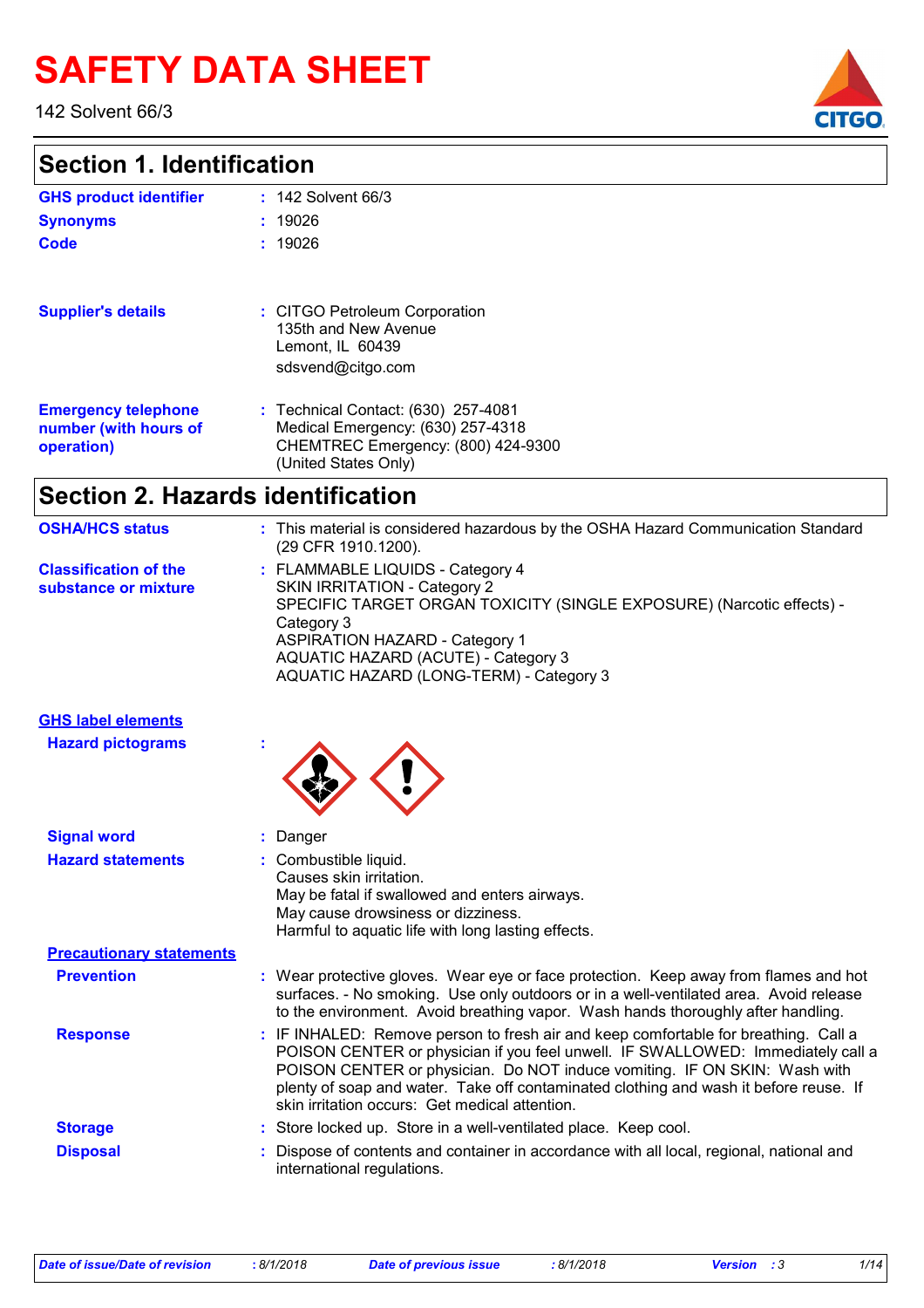# **SAFETY DATA SHEET**

142 Solvent 66/3

### **Section 1. Identification**

| <b>GHS product identifier</b>                                     | $: 142$ Solvent 66/3                                                                                                                   |
|-------------------------------------------------------------------|----------------------------------------------------------------------------------------------------------------------------------------|
| <b>Synonyms</b>                                                   | : 19026                                                                                                                                |
| <b>Code</b>                                                       | : 19026                                                                                                                                |
| <b>Supplier's details</b>                                         | : CITGO Petroleum Corporation<br>135th and New Avenue<br>Lemont, IL 60439<br>sdsvend@citgo.com                                         |
| <b>Emergency telephone</b><br>number (with hours of<br>operation) | : Technical Contact: (630) 257-4081<br>Medical Emergency: (630) 257-4318<br>CHEMTREC Emergency: (800) 424-9300<br>(United States Only) |
| <b>Section 2. Hazards identification</b>                          |                                                                                                                                        |
| <b>OSHA/HCS status</b>                                            | : This material is considered hazardous by the OSHA Hazard Communication Standard<br>(29 CFR 1910.1200).                               |
| <b>Classification of the</b>                                      | : FLAMMABLE LIQUIDS - Category 4                                                                                                       |

| <b>UIDO INCONDUCT UNIVERS</b> | . FLAININABLE LIQUIDS - CALCION 4                                     |
|-------------------------------|-----------------------------------------------------------------------|
| substance or mixture          | SKIN IRRITATION - Category 2                                          |
|                               | SPECIFIC TARGET ORGAN TOXICITY (SINGLE EXPOSURE) (Narcotic effects) - |
|                               | Category 3                                                            |
|                               | <b>ASPIRATION HAZARD - Category 1</b>                                 |
|                               | AQUATIC HAZARD (ACUTE) - Category 3                                   |
|                               | AQUATIC HAZARD (LONG-TERM) - Category 3                               |
|                               |                                                                       |

| <b>GHS label elements</b> |  |
|---------------------------|--|
| <b>Hazard pictograms</b>  |  |
|                           |  |



| <b>Signal word</b>              | : Danger                                                                                                                                                                                                                                                                                                                                                                                       |
|---------------------------------|------------------------------------------------------------------------------------------------------------------------------------------------------------------------------------------------------------------------------------------------------------------------------------------------------------------------------------------------------------------------------------------------|
| <b>Hazard statements</b>        | : Combustible liquid.<br>Causes skin irritation.<br>May be fatal if swallowed and enters airways.<br>May cause drowsiness or dizziness.<br>Harmful to aquatic life with long lasting effects.                                                                                                                                                                                                  |
| <b>Precautionary statements</b> |                                                                                                                                                                                                                                                                                                                                                                                                |
| <b>Prevention</b>               | : Wear protective gloves. Wear eye or face protection. Keep away from flames and hot<br>surfaces. - No smoking. Use only outdoors or in a well-ventilated area. Avoid release<br>to the environment. Avoid breathing vapor. Wash hands thoroughly after handling.                                                                                                                              |
| <b>Response</b>                 | : IF INHALED: Remove person to fresh air and keep comfortable for breathing. Call a<br>POISON CENTER or physician if you feel unwell. IF SWALLOWED: Immediately call a<br>POISON CENTER or physician. Do NOT induce vomiting. IF ON SKIN: Wash with<br>plenty of soap and water. Take off contaminated clothing and wash it before reuse. If<br>skin irritation occurs: Get medical attention. |
| <b>Storage</b>                  | : Store locked up. Store in a well-ventilated place. Keep cool.                                                                                                                                                                                                                                                                                                                                |
| <b>Disposal</b>                 | : Dispose of contents and container in accordance with all local, regional, national and<br>international regulations.                                                                                                                                                                                                                                                                         |

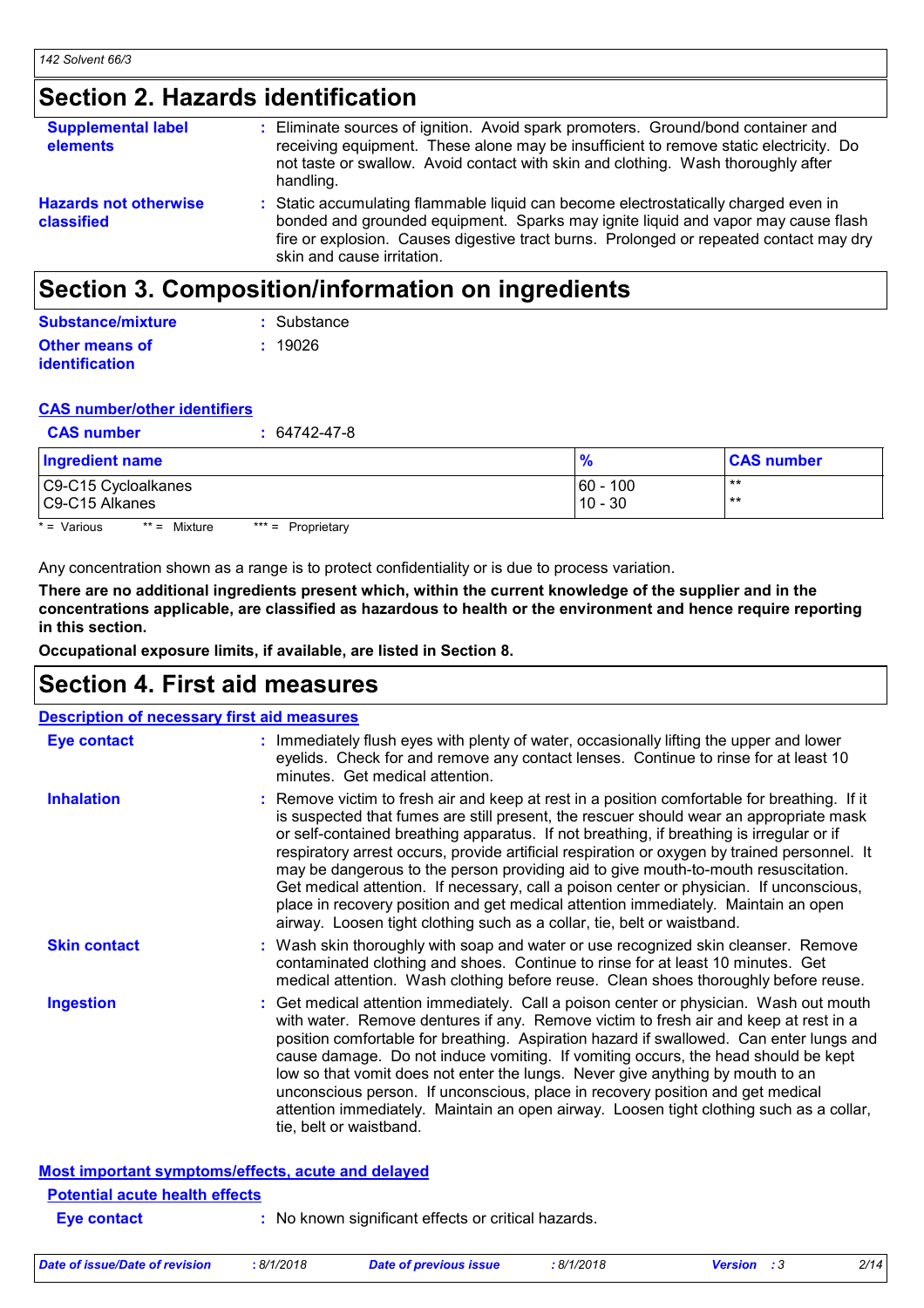### **Section 2. Hazards identification**

| <b>Supplemental label</b><br>elements      | : Eliminate sources of ignition. Avoid spark promoters. Ground/bond container and<br>receiving equipment. These alone may be insufficient to remove static electricity. Do<br>not taste or swallow. Avoid contact with skin and clothing. Wash thoroughly after<br>handling.                     |
|--------------------------------------------|--------------------------------------------------------------------------------------------------------------------------------------------------------------------------------------------------------------------------------------------------------------------------------------------------|
| <b>Hazards not otherwise</b><br>classified | : Static accumulating flammable liquid can become electrostatically charged even in<br>bonded and grounded equipment. Sparks may ignite liquid and vapor may cause flash<br>fire or explosion. Causes digestive tract burns. Prolonged or repeated contact may dry<br>skin and cause irritation. |

### **Section 3. Composition/information on ingredients**

| Substance/mixture     | : Substance |
|-----------------------|-------------|
| <b>Other means of</b> | : 19026     |
| <i>identification</i> |             |

#### **CAS number/other identifiers**

| <b>CAS number</b> | $: 64742 - 47 - 8$ |
|-------------------|--------------------|
|                   |                    |

| <b>Ingredient name</b> | $\frac{9}{6}$ | <b>CAS number</b> |
|------------------------|---------------|-------------------|
| C9-C15 Cycloalkanes    | $60 - 100$    | $***$             |
| C9-C15 Alkanes         | $10 - 30$     | **                |

 $* = \text{Various}$  \*\* = Mixture \*\*\* = Proprietary

Any concentration shown as a range is to protect confidentiality or is due to process variation.

**There are no additional ingredients present which, within the current knowledge of the supplier and in the concentrations applicable, are classified as hazardous to health or the environment and hence require reporting in this section.**

**Occupational exposure limits, if available, are listed in Section 8.**

### **Section 4. First aid measures**

| <b>Description of necessary first aid measures</b> |                                                                                                                                                                                                                                                                                                                                                                                                                                                                                                                                                                                                                                                                                                                                      |
|----------------------------------------------------|--------------------------------------------------------------------------------------------------------------------------------------------------------------------------------------------------------------------------------------------------------------------------------------------------------------------------------------------------------------------------------------------------------------------------------------------------------------------------------------------------------------------------------------------------------------------------------------------------------------------------------------------------------------------------------------------------------------------------------------|
| <b>Eye contact</b>                                 | : Immediately flush eyes with plenty of water, occasionally lifting the upper and lower<br>eyelids. Check for and remove any contact lenses. Continue to rinse for at least 10<br>minutes. Get medical attention.                                                                                                                                                                                                                                                                                                                                                                                                                                                                                                                    |
| <b>Inhalation</b>                                  | : Remove victim to fresh air and keep at rest in a position comfortable for breathing. If it<br>is suspected that fumes are still present, the rescuer should wear an appropriate mask<br>or self-contained breathing apparatus. If not breathing, if breathing is irregular or if<br>respiratory arrest occurs, provide artificial respiration or oxygen by trained personnel. It<br>may be dangerous to the person providing aid to give mouth-to-mouth resuscitation.<br>Get medical attention. If necessary, call a poison center or physician. If unconscious,<br>place in recovery position and get medical attention immediately. Maintain an open<br>airway. Loosen tight clothing such as a collar, tie, belt or waistband. |
| <b>Skin contact</b>                                | : Wash skin thoroughly with soap and water or use recognized skin cleanser. Remove<br>contaminated clothing and shoes. Continue to rinse for at least 10 minutes. Get<br>medical attention. Wash clothing before reuse. Clean shoes thoroughly before reuse.                                                                                                                                                                                                                                                                                                                                                                                                                                                                         |
| <b>Ingestion</b>                                   | : Get medical attention immediately. Call a poison center or physician. Wash out mouth<br>with water. Remove dentures if any. Remove victim to fresh air and keep at rest in a<br>position comfortable for breathing. Aspiration hazard if swallowed. Can enter lungs and<br>cause damage. Do not induce vomiting. If vomiting occurs, the head should be kept<br>low so that vomit does not enter the lungs. Never give anything by mouth to an<br>unconscious person. If unconscious, place in recovery position and get medical<br>attention immediately. Maintain an open airway. Loosen tight clothing such as a collar,<br>tie, belt or waistband.                                                                             |
| Most important symptoms/effects, acute and delayed |                                                                                                                                                                                                                                                                                                                                                                                                                                                                                                                                                                                                                                                                                                                                      |
| <b>Potential acute health effects</b>              |                                                                                                                                                                                                                                                                                                                                                                                                                                                                                                                                                                                                                                                                                                                                      |
| <b>Eve contact</b>                                 | : No known significant effects or critical hazards.                                                                                                                                                                                                                                                                                                                                                                                                                                                                                                                                                                                                                                                                                  |

| Date of issue/Date of revision | 8/1/2018 | Date of previous issue | : 8/1/2018 | <b>Version</b> : 3 |  |
|--------------------------------|----------|------------------------|------------|--------------------|--|
|                                |          |                        |            |                    |  |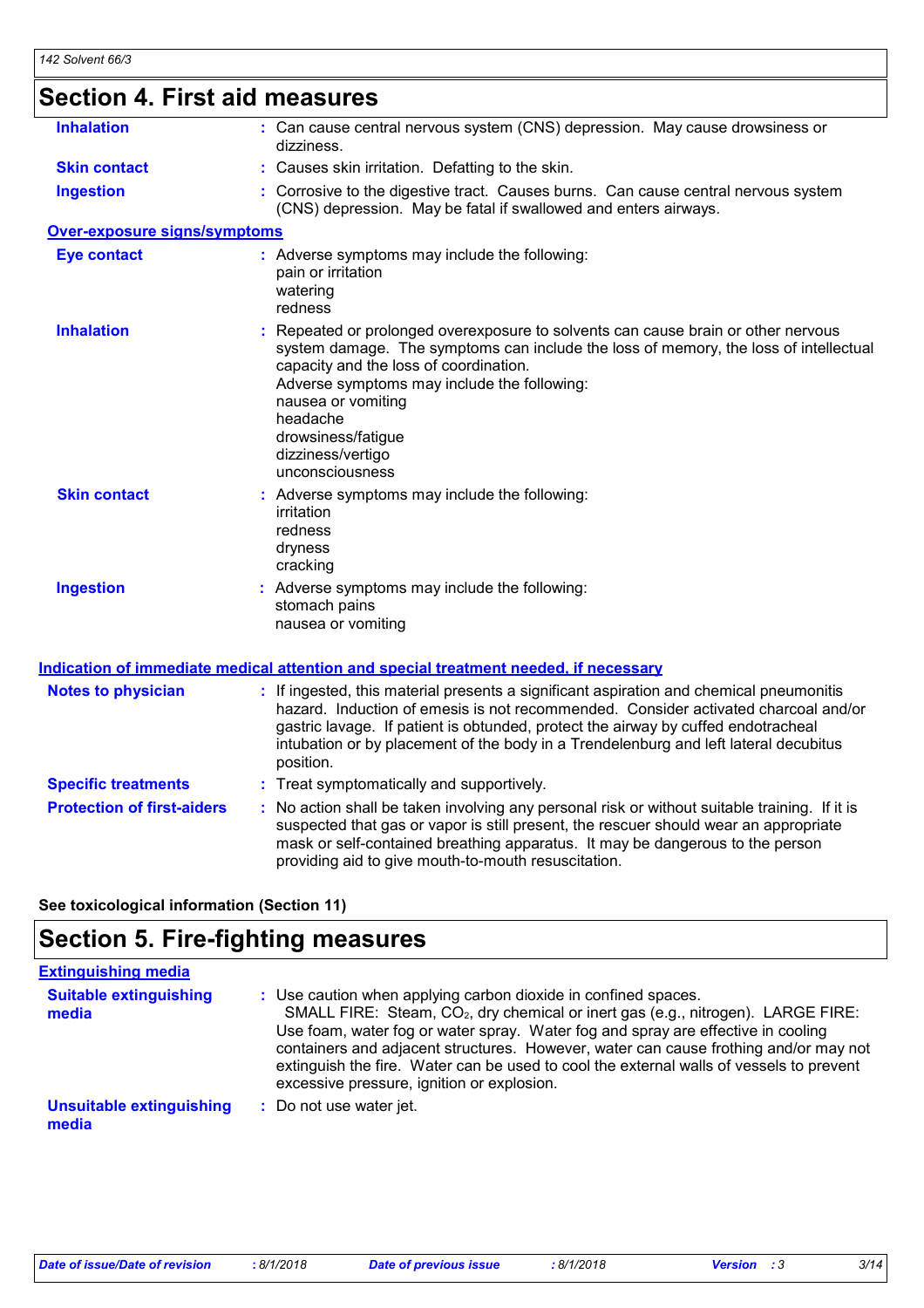| Section 4. First aid measures       |                                                                                                                                                                                                                                                                                                                                                                         |
|-------------------------------------|-------------------------------------------------------------------------------------------------------------------------------------------------------------------------------------------------------------------------------------------------------------------------------------------------------------------------------------------------------------------------|
| <b>Inhalation</b>                   | : Can cause central nervous system (CNS) depression. May cause drowsiness or<br>dizziness.                                                                                                                                                                                                                                                                              |
| <b>Skin contact</b>                 | : Causes skin irritation. Defatting to the skin.                                                                                                                                                                                                                                                                                                                        |
| <b>Ingestion</b>                    | : Corrosive to the digestive tract. Causes burns. Can cause central nervous system<br>(CNS) depression. May be fatal if swallowed and enters airways.                                                                                                                                                                                                                   |
| <b>Over-exposure signs/symptoms</b> |                                                                                                                                                                                                                                                                                                                                                                         |
| <b>Eye contact</b>                  | : Adverse symptoms may include the following:<br>pain or irritation<br>watering<br>redness                                                                                                                                                                                                                                                                              |
| <b>Inhalation</b>                   | : Repeated or prolonged overexposure to solvents can cause brain or other nervous<br>system damage. The symptoms can include the loss of memory, the loss of intellectual<br>capacity and the loss of coordination.<br>Adverse symptoms may include the following:<br>nausea or vomiting<br>headache<br>drowsiness/fatigue<br>dizziness/vertigo<br>unconsciousness      |
| <b>Skin contact</b>                 | : Adverse symptoms may include the following:<br>irritation<br>redness<br>dryness<br>cracking                                                                                                                                                                                                                                                                           |
| <b>Ingestion</b>                    | : Adverse symptoms may include the following:<br>stomach pains<br>nausea or vomiting                                                                                                                                                                                                                                                                                    |
|                                     | <b>Indication of immediate medical attention and special treatment needed, if necessary</b>                                                                                                                                                                                                                                                                             |
| <b>Notes to physician</b>           | : If ingested, this material presents a significant aspiration and chemical pneumonitis<br>hazard. Induction of emesis is not recommended. Consider activated charcoal and/or<br>gastric lavage. If patient is obtunded, protect the airway by cuffed endotracheal<br>intubation or by placement of the body in a Trendelenburg and left lateral decubitus<br>position. |
| <b>Specific treatments</b>          | : Treat symptomatically and supportively.                                                                                                                                                                                                                                                                                                                               |
| <b>Protection of first-aiders</b>   | : No action shall be taken involving any personal risk or without suitable training. If it is<br>suspected that gas or vapor is still present, the rescuer should wear an appropriate<br>mask or self-contained breathing apparatus. It may be dangerous to the person<br>providing aid to give mouth-to-mouth resuscitation.                                           |

**See toxicological information (Section 11)**

### **Section 5. Fire-fighting measures**

| <b>Extinguishing media</b>               |                                                                                                                                                                                                                                                                                                                                                                                                                                                                                     |
|------------------------------------------|-------------------------------------------------------------------------------------------------------------------------------------------------------------------------------------------------------------------------------------------------------------------------------------------------------------------------------------------------------------------------------------------------------------------------------------------------------------------------------------|
| <b>Suitable extinguishing</b><br>media   | : Use caution when applying carbon dioxide in confined spaces.<br>SMALL FIRE: Steam, CO <sub>2</sub> , dry chemical or inert gas (e.g., nitrogen). LARGE FIRE:<br>Use foam, water fog or water spray. Water fog and spray are effective in cooling<br>containers and adjacent structures. However, water can cause frothing and/or may not<br>extinguish the fire. Water can be used to cool the external walls of vessels to prevent<br>excessive pressure, ignition or explosion. |
| <b>Unsuitable extinguishing</b><br>media | : Do not use water jet.                                                                                                                                                                                                                                                                                                                                                                                                                                                             |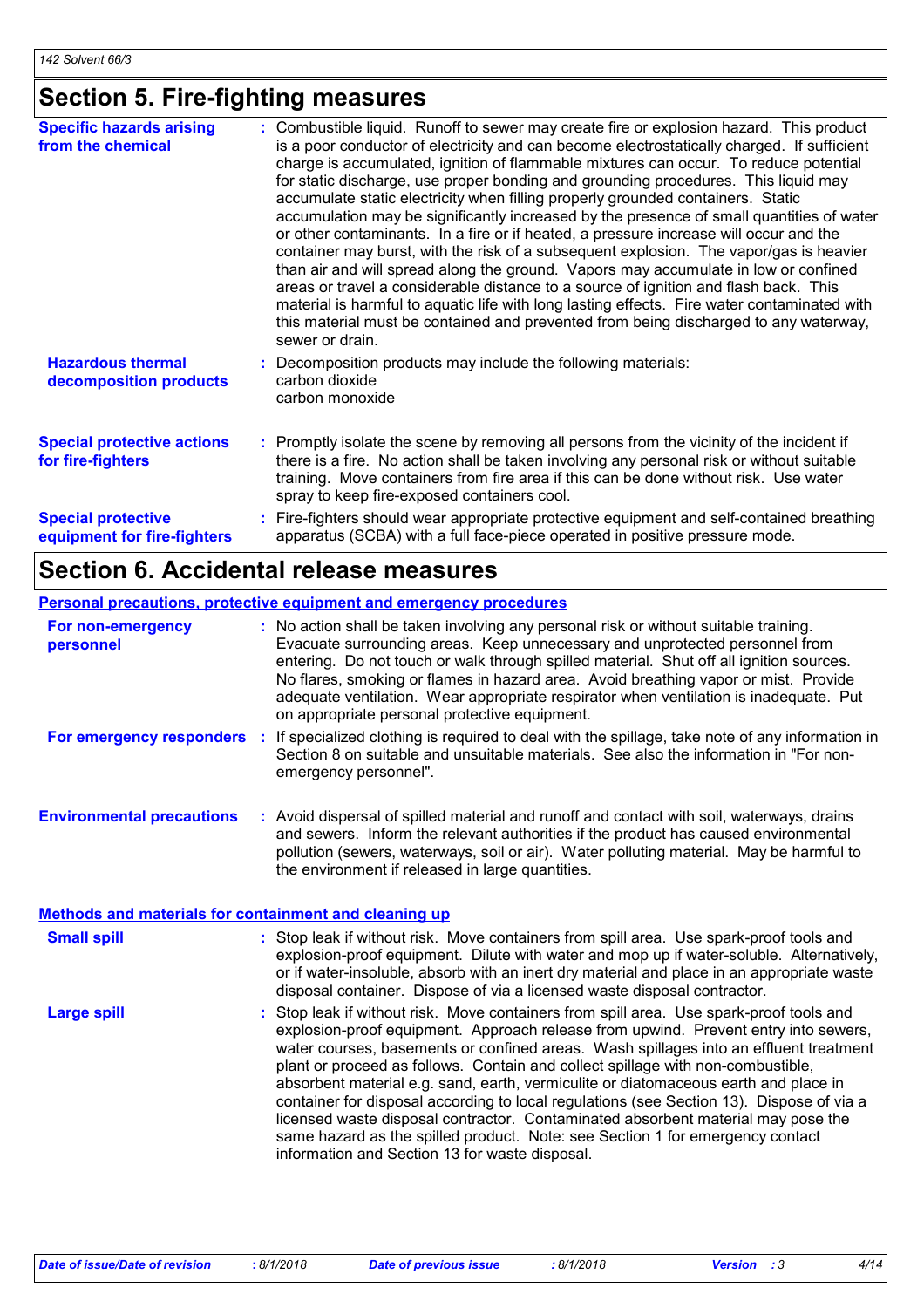### **Section 5. Fire-fighting measures**

| <b>Specific hazards arising</b><br>from the chemical     | Combustible liquid. Runoff to sewer may create fire or explosion hazard. This product<br>is a poor conductor of electricity and can become electrostatically charged. If sufficient<br>charge is accumulated, ignition of flammable mixtures can occur. To reduce potential<br>for static discharge, use proper bonding and grounding procedures. This liquid may<br>accumulate static electricity when filling properly grounded containers. Static<br>accumulation may be significantly increased by the presence of small quantities of water<br>or other contaminants. In a fire or if heated, a pressure increase will occur and the<br>container may burst, with the risk of a subsequent explosion. The vapor/gas is heavier<br>than air and will spread along the ground. Vapors may accumulate in low or confined<br>areas or travel a considerable distance to a source of ignition and flash back. This<br>material is harmful to aquatic life with long lasting effects. Fire water contaminated with<br>this material must be contained and prevented from being discharged to any waterway,<br>sewer or drain. |
|----------------------------------------------------------|------------------------------------------------------------------------------------------------------------------------------------------------------------------------------------------------------------------------------------------------------------------------------------------------------------------------------------------------------------------------------------------------------------------------------------------------------------------------------------------------------------------------------------------------------------------------------------------------------------------------------------------------------------------------------------------------------------------------------------------------------------------------------------------------------------------------------------------------------------------------------------------------------------------------------------------------------------------------------------------------------------------------------------------------------------------------------------------------------------------------------|
| <b>Hazardous thermal</b><br>decomposition products       | : Decomposition products may include the following materials:<br>carbon dioxide<br>carbon monoxide                                                                                                                                                                                                                                                                                                                                                                                                                                                                                                                                                                                                                                                                                                                                                                                                                                                                                                                                                                                                                           |
| <b>Special protective actions</b><br>for fire-fighters   | : Promptly isolate the scene by removing all persons from the vicinity of the incident if<br>there is a fire. No action shall be taken involving any personal risk or without suitable<br>training. Move containers from fire area if this can be done without risk. Use water<br>spray to keep fire-exposed containers cool.                                                                                                                                                                                                                                                                                                                                                                                                                                                                                                                                                                                                                                                                                                                                                                                                |
| <b>Special protective</b><br>equipment for fire-fighters | Fire-fighters should wear appropriate protective equipment and self-contained breathing<br>apparatus (SCBA) with a full face-piece operated in positive pressure mode.                                                                                                                                                                                                                                                                                                                                                                                                                                                                                                                                                                                                                                                                                                                                                                                                                                                                                                                                                       |

### **Section 6. Accidental release measures**

### **Personal precautions, protective equipment and emergency procedures**

| For non-emergency<br>personnel   |     | : No action shall be taken involving any personal risk or without suitable training.<br>Evacuate surrounding areas. Keep unnecessary and unprotected personnel from<br>entering. Do not touch or walk through spilled material. Shut off all ignition sources.<br>No flares, smoking or flames in hazard area. Avoid breathing vapor or mist. Provide<br>adequate ventilation. Wear appropriate respirator when ventilation is inadequate. Put<br>on appropriate personal protective equipment. |
|----------------------------------|-----|-------------------------------------------------------------------------------------------------------------------------------------------------------------------------------------------------------------------------------------------------------------------------------------------------------------------------------------------------------------------------------------------------------------------------------------------------------------------------------------------------|
| For emergency responders         | -11 | If specialized clothing is required to deal with the spillage, take note of any information in<br>Section 8 on suitable and unsuitable materials. See also the information in "For non-<br>emergency personnel".                                                                                                                                                                                                                                                                                |
| <b>Environmental precautions</b> |     | : Avoid dispersal of spilled material and runoff and contact with soil, waterways, drains<br>and sewers. Inform the relevant authorities if the product has caused environmental<br>pollution (sewers, waterways, soil or air). Water polluting material. May be harmful to                                                                                                                                                                                                                     |

#### Stop leak if without risk. Move containers from spill area. Use spark-proof tools and explosion-proof equipment. Approach release from upwind. Prevent entry into sewers, water courses, basements or confined areas. Wash spillages into an effluent treatment plant or proceed as follows. Contain and collect spillage with non-combustible, absorbent material e.g. sand, earth, vermiculite or diatomaceous earth and place in container for disposal according to local regulations (see Section 13). Dispose of via a licensed waste disposal contractor. Contaminated absorbent material may pose the same hazard as the spilled product. Note: see Section 1 for emergency contact information and Section 13 for waste disposal. **Large spill :** : Stop leak if without risk. Move containers from spill area. Use spark-proof tools and explosion-proof equipment. Dilute with water and mop up if water-soluble. Alternatively, or if water-insoluble, absorb with an inert dry material and place in an appropriate waste disposal container. Dispose of via a licensed waste disposal contractor. **Small spill : Methods and materials for containment and cleaning up**

the environment if released in large quantities.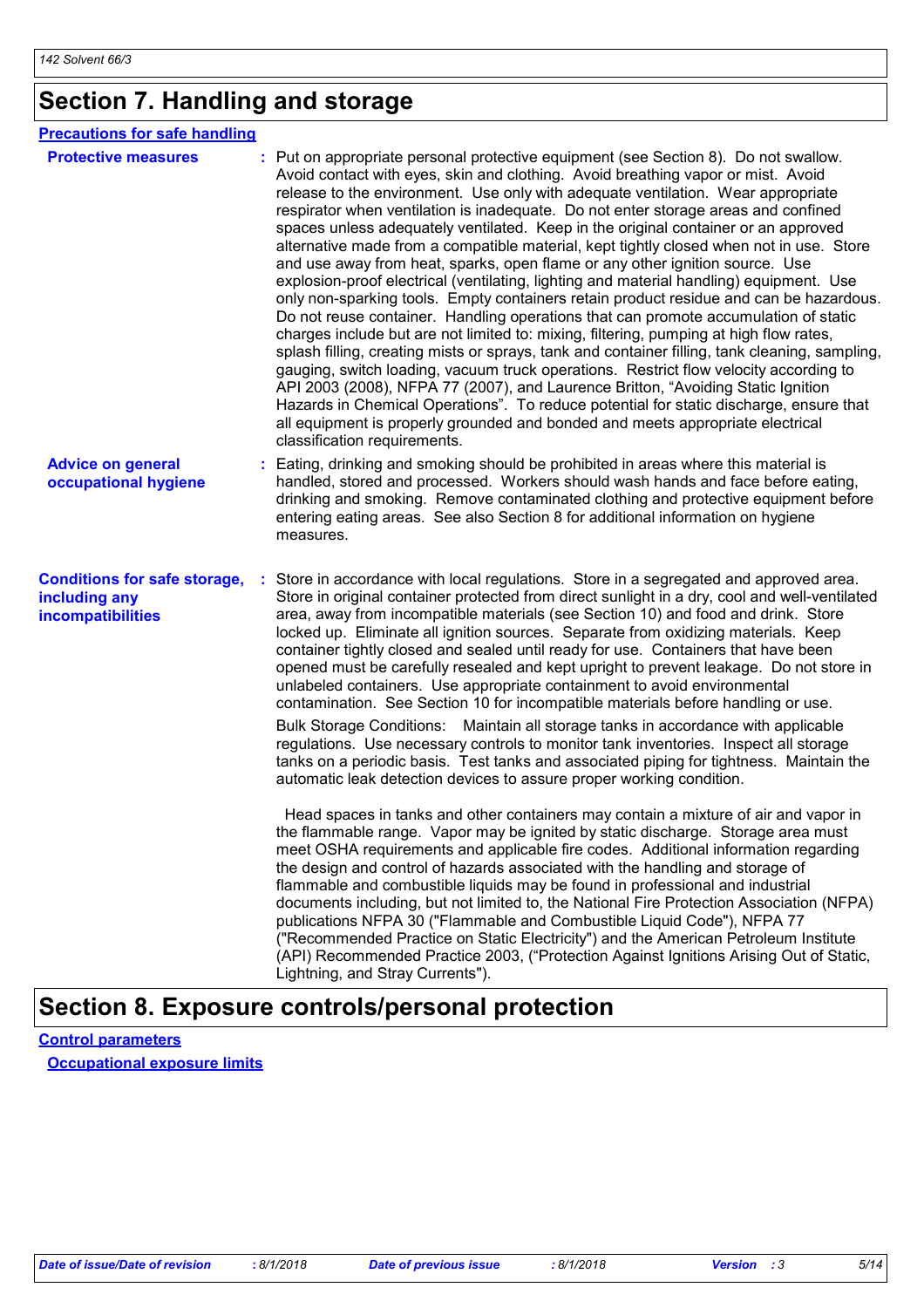### **Section 7. Handling and storage**

| <b>Precautions for safe handling</b>                                      |                                                                                                                                                                                                                                                                                                                                                                                                                                                                                                                                                                                                                                                                                                                                                                                                                                                                                                                                                                                                                                                                                                                                                                                                                                                                                                                                                                                                                                                                                                                                                                                                                                                                                                                                                                                                                                                             |
|---------------------------------------------------------------------------|-------------------------------------------------------------------------------------------------------------------------------------------------------------------------------------------------------------------------------------------------------------------------------------------------------------------------------------------------------------------------------------------------------------------------------------------------------------------------------------------------------------------------------------------------------------------------------------------------------------------------------------------------------------------------------------------------------------------------------------------------------------------------------------------------------------------------------------------------------------------------------------------------------------------------------------------------------------------------------------------------------------------------------------------------------------------------------------------------------------------------------------------------------------------------------------------------------------------------------------------------------------------------------------------------------------------------------------------------------------------------------------------------------------------------------------------------------------------------------------------------------------------------------------------------------------------------------------------------------------------------------------------------------------------------------------------------------------------------------------------------------------------------------------------------------------------------------------------------------------|
| <b>Protective measures</b>                                                | : Put on appropriate personal protective equipment (see Section 8). Do not swallow.<br>Avoid contact with eyes, skin and clothing. Avoid breathing vapor or mist. Avoid<br>release to the environment. Use only with adequate ventilation. Wear appropriate<br>respirator when ventilation is inadequate. Do not enter storage areas and confined<br>spaces unless adequately ventilated. Keep in the original container or an approved<br>alternative made from a compatible material, kept tightly closed when not in use. Store<br>and use away from heat, sparks, open flame or any other ignition source. Use<br>explosion-proof electrical (ventilating, lighting and material handling) equipment. Use<br>only non-sparking tools. Empty containers retain product residue and can be hazardous.<br>Do not reuse container. Handling operations that can promote accumulation of static<br>charges include but are not limited to: mixing, filtering, pumping at high flow rates,<br>splash filling, creating mists or sprays, tank and container filling, tank cleaning, sampling,<br>gauging, switch loading, vacuum truck operations. Restrict flow velocity according to<br>API 2003 (2008), NFPA 77 (2007), and Laurence Britton, "Avoiding Static Ignition<br>Hazards in Chemical Operations". To reduce potential for static discharge, ensure that<br>all equipment is properly grounded and bonded and meets appropriate electrical<br>classification requirements.                                                                                                                                                                                                                                                                                                                                                                         |
| <b>Advice on general</b><br>occupational hygiene                          | Eating, drinking and smoking should be prohibited in areas where this material is<br>handled, stored and processed. Workers should wash hands and face before eating,<br>drinking and smoking. Remove contaminated clothing and protective equipment before<br>entering eating areas. See also Section 8 for additional information on hygiene<br>measures.                                                                                                                                                                                                                                                                                                                                                                                                                                                                                                                                                                                                                                                                                                                                                                                                                                                                                                                                                                                                                                                                                                                                                                                                                                                                                                                                                                                                                                                                                                 |
| <b>Conditions for safe storage,</b><br>including any<br>incompatibilities | Store in accordance with local regulations. Store in a segregated and approved area.<br>Store in original container protected from direct sunlight in a dry, cool and well-ventilated<br>area, away from incompatible materials (see Section 10) and food and drink. Store<br>locked up. Eliminate all ignition sources. Separate from oxidizing materials. Keep<br>container tightly closed and sealed until ready for use. Containers that have been<br>opened must be carefully resealed and kept upright to prevent leakage. Do not store in<br>unlabeled containers. Use appropriate containment to avoid environmental<br>contamination. See Section 10 for incompatible materials before handling or use.<br>Bulk Storage Conditions: Maintain all storage tanks in accordance with applicable<br>regulations. Use necessary controls to monitor tank inventories. Inspect all storage<br>tanks on a periodic basis. Test tanks and associated piping for tightness. Maintain the<br>automatic leak detection devices to assure proper working condition.<br>Head spaces in tanks and other containers may contain a mixture of air and vapor in<br>the flammable range. Vapor may be ignited by static discharge. Storage area must<br>meet OSHA requirements and applicable fire codes. Additional information regarding<br>the design and control of hazards associated with the handling and storage of<br>flammable and combustible liquids may be found in professional and industrial<br>documents including, but not limited to, the National Fire Protection Association (NFPA)<br>publications NFPA 30 ("Flammable and Combustible Liquid Code"), NFPA 77<br>("Recommended Practice on Static Electricity") and the American Petroleum Institute<br>(API) Recommended Practice 2003, ("Protection Against Ignitions Arising Out of Static, |

### **Section 8. Exposure controls/personal protection**

**Control parameters Occupational exposure limits**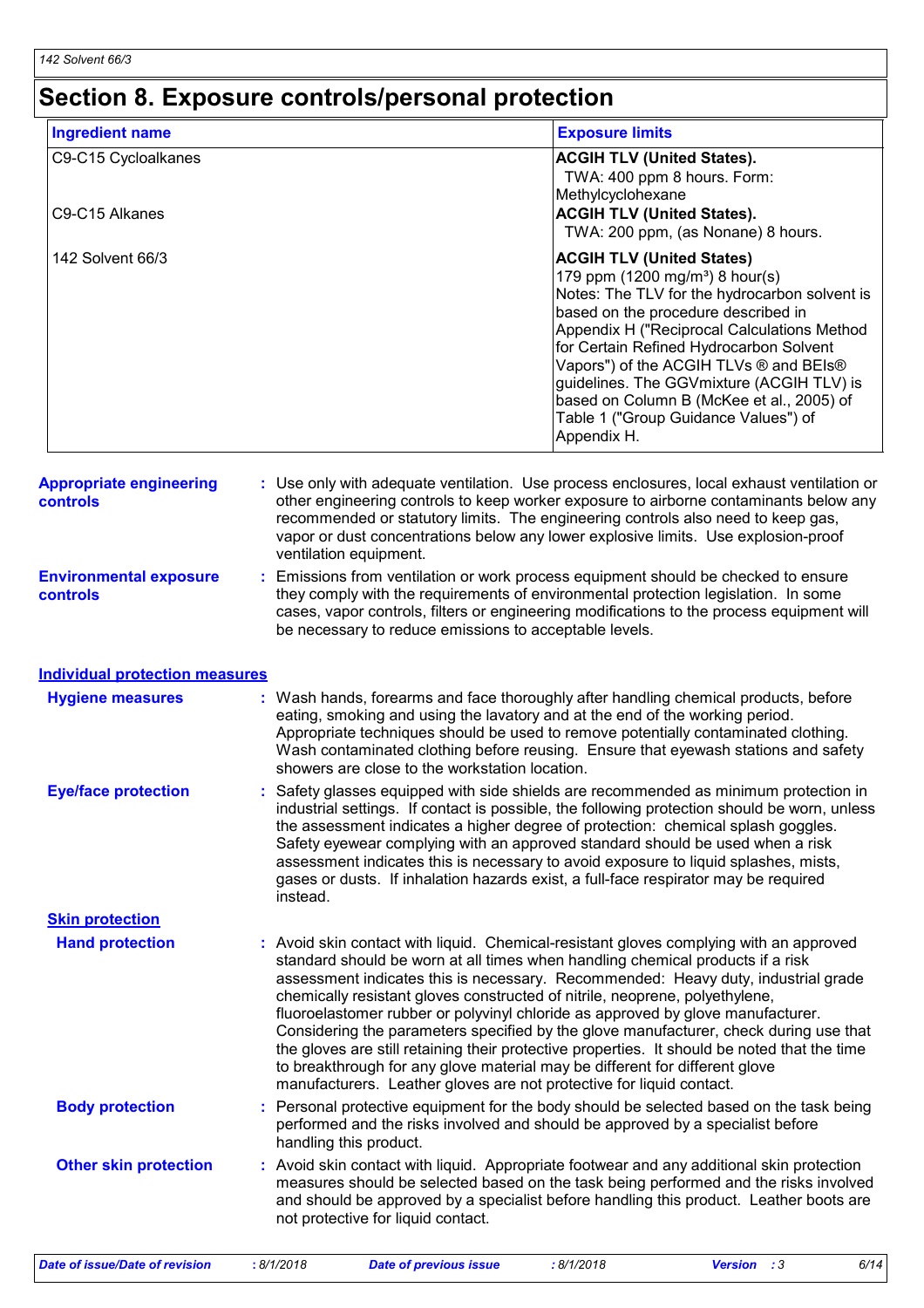### **Section 8. Exposure controls/personal protection**

| <b>Ingredient name</b>                     | <b>Exposure limits</b>                                                                                                                                                                                                                                                                                                                                                                                                                                     |
|--------------------------------------------|------------------------------------------------------------------------------------------------------------------------------------------------------------------------------------------------------------------------------------------------------------------------------------------------------------------------------------------------------------------------------------------------------------------------------------------------------------|
| C9-C15 Cycloalkanes<br>C9-C15 Alkanes      | <b>ACGIH TLV (United States).</b><br>TWA: 400 ppm 8 hours. Form:<br>Methylcyclohexane<br><b>ACGIH TLV (United States).</b><br>TWA: 200 ppm, (as Nonane) 8 hours.                                                                                                                                                                                                                                                                                           |
| 142 Solvent 66/3                           | <b>ACGIH TLV (United States)</b><br>179 ppm $(1200 \text{ mg/m}^3)$ 8 hour(s)<br>Notes: The TLV for the hydrocarbon solvent is<br>based on the procedure described in<br>Appendix H ("Reciprocal Calculations Method<br>for Certain Refined Hydrocarbon Solvent<br>Vapors") of the ACGIH TLVs ® and BEIs®<br>guidelines. The GGVmixture (ACGIH TLV) is<br>based on Column B (McKee et al., 2005) of<br>Table 1 ("Group Guidance Values") of<br>Appendix H. |
| <b>Appropriate engineering</b><br>controls | : Use only with adequate ventilation. Use process enclosures, local exhaust ventilation or<br>other engineering controls to keep worker exposure to airborne contaminants below any<br>recommended or statutory limits. The engineering controls also need to keep gas,<br>vapor or dust concentrations below any lower explosive limits. Use explosion-proof<br>ventilation equipment.                                                                    |
| <b>Environmental exposure</b><br>controls  | Emissions from ventilation or work process equipment should be checked to ensure<br>t.<br>they comply with the requirements of environmental protection legislation. In some<br>cases, vapor controls, filters or engineering modifications to the process equipment will<br>be necessary to reduce emissions to acceptable levels.                                                                                                                        |
| <b>Individual protection measures</b>      |                                                                                                                                                                                                                                                                                                                                                                                                                                                            |
| <b>Hygiene measures</b>                    | : Wash hands, forearms and face thoroughly after handling chemical products, before<br>eating, smoking and using the lavatory and at the end of the working period.<br>Appropriate techniques should be used to remove potentially contaminated clothing.                                                                                                                                                                                                  |

- Safety glasses equipped with side shields are recommended as minimum protection in **:** industrial settings. If contact is possible, the following protection should be worn, unless the assessment indicates a higher degree of protection: chemical splash goggles. **Eye/face protection** Appropriate techniques should be used to remove potentially contaminated clothing. Wash contaminated clothing before reusing. Ensure that eyewash stations and safety showers are close to the workstation location.
- **Hand protection** : Avoid skin contact with liquid. Chemical-resistant gloves complying with an approved standard should be worn at all times when handling chemical products if a risk assessment indicates this is necessary. Recommended: Heavy duty, industrial grade chemically resistant gloves constructed of nitrile, neoprene, polyethylene, fluoroelastomer rubber or polyvinyl chloride as approved by glove manufacturer. Considering the parameters specified by the glove manufacturer, check during use that the gloves are still retaining their protective properties. It should be noted that the time to breakthrough for any glove material may be different for different glove manufacturers. Leather gloves are not protective for liquid contact. Safety eyewear complying with an approved standard should be used when a risk assessment indicates this is necessary to avoid exposure to liquid splashes, mists, gases or dusts. If inhalation hazards exist, a full-face respirator may be required instead. **Body protection** : Personal protective equipment for the body should be selected based on the task being in the task being performed and the risks involved and should be approved by a specialist before **Skin protection**
- handling this product. **Other skin protection :** Avoid skin contact with liquid. Appropriate footwear and any additional skin protection measures should be selected based on the task being performed and the risks involved and should be approved by a specialist before handling this product. Leather boots are not protective for liquid contact.

*Date of issue/Date of revision* **:** *8/1/2018 Date of previous issue : 8/1/2018 Version : 3 6/14*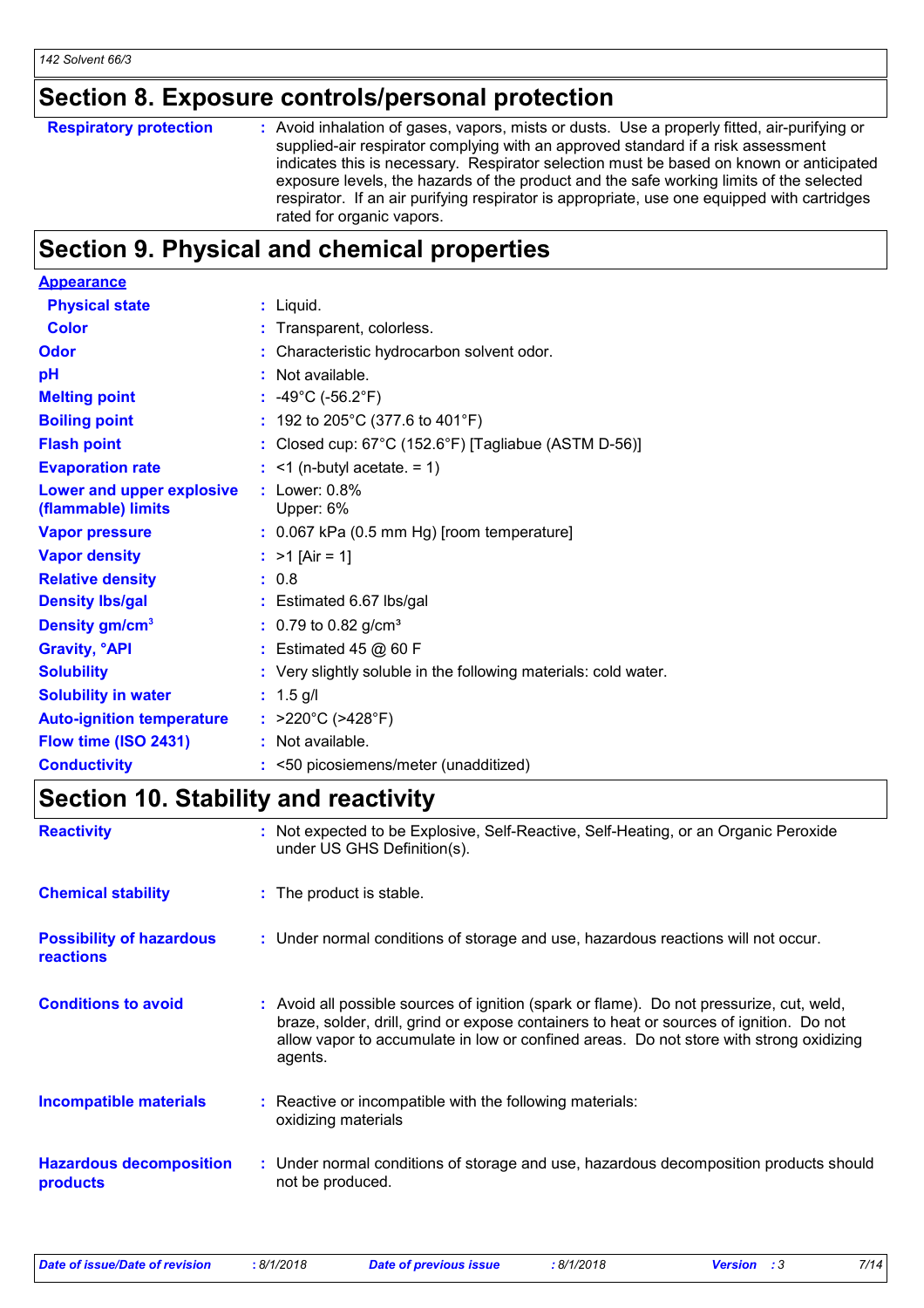### **Section 8. Exposure controls/personal protection**

| <b>Respiratory protection</b> | : Avoid inhalation of gases, vapors, mists or dusts. Use a properly fitted, air-purifying or<br>supplied-air respirator complying with an approved standard if a risk assessment<br>indicates this is necessary. Respirator selection must be based on known or anticipated<br>exposure levels, the hazards of the product and the safe working limits of the selected<br>respirator. If an air purifying respirator is appropriate, use one equipped with cartridges |
|-------------------------------|-----------------------------------------------------------------------------------------------------------------------------------------------------------------------------------------------------------------------------------------------------------------------------------------------------------------------------------------------------------------------------------------------------------------------------------------------------------------------|
|                               | rated for organic vapors.                                                                                                                                                                                                                                                                                                                                                                                                                                             |

### **Section 9. Physical and chemical properties**

| <b>Appearance</b>                               |                                                                 |
|-------------------------------------------------|-----------------------------------------------------------------|
| <b>Physical state</b>                           | : Liquid.                                                       |
| <b>Color</b>                                    | : Transparent, colorless.                                       |
| <b>Odor</b>                                     | : Characteristic hydrocarbon solvent odor.                      |
| рH                                              | : Not available.                                                |
| <b>Melting point</b>                            | : $-49^{\circ}$ C ( $-56.2^{\circ}$ F)                          |
| <b>Boiling point</b>                            | : 192 to 205°C (377.6 to 401°F)                                 |
| <b>Flash point</b>                              | : Closed cup: $67^{\circ}$ C (152.6°F) [Tagliabue (ASTM D-56)]  |
| <b>Evaporation rate</b>                         | $:$ <1 (n-butyl acetate. = 1)                                   |
| Lower and upper explosive<br>(flammable) limits | $:$ Lower: $0.8\%$<br>Upper: 6%                                 |
| <b>Vapor pressure</b>                           | $: 0.067$ kPa (0.5 mm Hg) [room temperature]                    |
| <b>Vapor density</b>                            | : $>1$ [Air = 1]                                                |
| <b>Relative density</b>                         | : 0.8                                                           |
| <b>Density Ibs/gal</b>                          | : Estimated 6.67 lbs/gal                                        |
| Density gm/cm <sup>3</sup>                      | $: 0.79$ to 0.82 g/cm <sup>3</sup>                              |
| <b>Gravity, °API</b>                            | $:$ Estimated 45 $@$ 60 F                                       |
| <b>Solubility</b>                               | : Very slightly soluble in the following materials: cold water. |
| <b>Solubility in water</b>                      | $: 1.5$ g/l                                                     |
| <b>Auto-ignition temperature</b>                | : $>220^{\circ}$ C ( $>428^{\circ}$ F)                          |
| Flow time (ISO 2431)                            | $:$ Not available.                                              |
| <b>Conductivity</b>                             | : <50 picosiemens/meter (unadditized)                           |

### **Section 10. Stability and reactivity**

| <b>Reactivity</b>                                   | : Not expected to be Explosive, Self-Reactive, Self-Heating, or an Organic Peroxide<br>under US GHS Definition(s).                                                                                                                                                                       |
|-----------------------------------------------------|------------------------------------------------------------------------------------------------------------------------------------------------------------------------------------------------------------------------------------------------------------------------------------------|
| <b>Chemical stability</b>                           | : The product is stable.                                                                                                                                                                                                                                                                 |
| <b>Possibility of hazardous</b><br><b>reactions</b> | : Under normal conditions of storage and use, hazardous reactions will not occur.                                                                                                                                                                                                        |
| <b>Conditions to avoid</b>                          | : Avoid all possible sources of ignition (spark or flame). Do not pressurize, cut, weld,<br>braze, solder, drill, grind or expose containers to heat or sources of ignition. Do not<br>allow vapor to accumulate in low or confined areas. Do not store with strong oxidizing<br>agents. |
| <b>Incompatible materials</b>                       | : Reactive or incompatible with the following materials:<br>oxidizing materials                                                                                                                                                                                                          |
| <b>Hazardous decomposition</b><br>products          | : Under normal conditions of storage and use, hazardous decomposition products should<br>not be produced.                                                                                                                                                                                |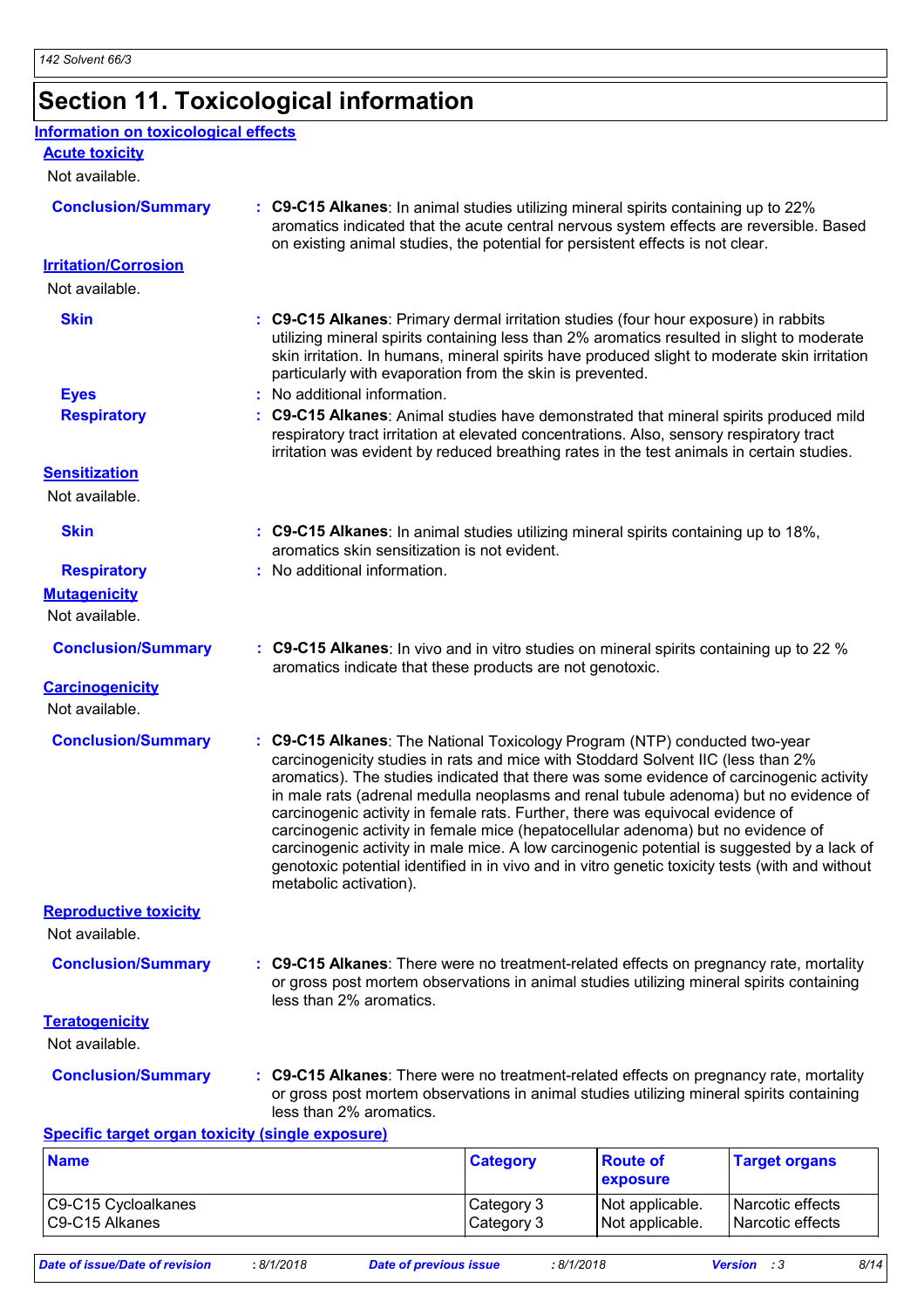## **Section 11. Toxicological information**

| Information on toxicological effects |  |
|--------------------------------------|--|
|                                      |  |

**Acute toxicity**

Not available.

| <b>Conclusion/Summary</b>                      | : C9-C15 Alkanes: In animal studies utilizing mineral spirits containing up to 22%<br>aromatics indicated that the acute central nervous system effects are reversible. Based<br>on existing animal studies, the potential for persistent effects is not clear.                                                                                                                                                                                                                                                                                                                                                                                                                                                                                    |
|------------------------------------------------|----------------------------------------------------------------------------------------------------------------------------------------------------------------------------------------------------------------------------------------------------------------------------------------------------------------------------------------------------------------------------------------------------------------------------------------------------------------------------------------------------------------------------------------------------------------------------------------------------------------------------------------------------------------------------------------------------------------------------------------------------|
| <b>Irritation/Corrosion</b>                    |                                                                                                                                                                                                                                                                                                                                                                                                                                                                                                                                                                                                                                                                                                                                                    |
| Not available.                                 |                                                                                                                                                                                                                                                                                                                                                                                                                                                                                                                                                                                                                                                                                                                                                    |
| <b>Skin</b>                                    | : C9-C15 Alkanes: Primary dermal irritation studies (four hour exposure) in rabbits<br>utilizing mineral spirits containing less than 2% aromatics resulted in slight to moderate<br>skin irritation. In humans, mineral spirits have produced slight to moderate skin irritation<br>particularly with evaporation from the skin is prevented.                                                                                                                                                                                                                                                                                                                                                                                                     |
| <b>Eyes</b>                                    | : No additional information.                                                                                                                                                                                                                                                                                                                                                                                                                                                                                                                                                                                                                                                                                                                       |
| <b>Respiratory</b>                             | : C9-C15 Alkanes: Animal studies have demonstrated that mineral spirits produced mild<br>respiratory tract irritation at elevated concentrations. Also, sensory respiratory tract<br>irritation was evident by reduced breathing rates in the test animals in certain studies.                                                                                                                                                                                                                                                                                                                                                                                                                                                                     |
| <b>Sensitization</b>                           |                                                                                                                                                                                                                                                                                                                                                                                                                                                                                                                                                                                                                                                                                                                                                    |
| Not available.                                 |                                                                                                                                                                                                                                                                                                                                                                                                                                                                                                                                                                                                                                                                                                                                                    |
| <b>Skin</b>                                    | : C9-C15 Alkanes: In animal studies utilizing mineral spirits containing up to 18%,<br>aromatics skin sensitization is not evident.                                                                                                                                                                                                                                                                                                                                                                                                                                                                                                                                                                                                                |
| <b>Respiratory</b>                             | : No additional information.                                                                                                                                                                                                                                                                                                                                                                                                                                                                                                                                                                                                                                                                                                                       |
| <b>Mutagenicity</b><br>Not available.          |                                                                                                                                                                                                                                                                                                                                                                                                                                                                                                                                                                                                                                                                                                                                                    |
| <b>Conclusion/Summary</b>                      | : C9-C15 Alkanes: In vivo and in vitro studies on mineral spirits containing up to 22 %<br>aromatics indicate that these products are not genotoxic.                                                                                                                                                                                                                                                                                                                                                                                                                                                                                                                                                                                               |
| <b>Carcinogenicity</b>                         |                                                                                                                                                                                                                                                                                                                                                                                                                                                                                                                                                                                                                                                                                                                                                    |
| Not available.                                 |                                                                                                                                                                                                                                                                                                                                                                                                                                                                                                                                                                                                                                                                                                                                                    |
| <b>Conclusion/Summary</b>                      | : C9-C15 Alkanes: The National Toxicology Program (NTP) conducted two-year<br>carcinogenicity studies in rats and mice with Stoddard Solvent IIC (less than 2%<br>aromatics). The studies indicated that there was some evidence of carcinogenic activity<br>in male rats (adrenal medulla neoplasms and renal tubule adenoma) but no evidence of<br>carcinogenic activity in female rats. Further, there was equivocal evidence of<br>carcinogenic activity in female mice (hepatocellular adenoma) but no evidence of<br>carcinogenic activity in male mice. A low carcinogenic potential is suggested by a lack of<br>genotoxic potential identified in in vivo and in vitro genetic toxicity tests (with and without<br>metabolic activation). |
| <b>Reproductive toxicity</b><br>Not available. |                                                                                                                                                                                                                                                                                                                                                                                                                                                                                                                                                                                                                                                                                                                                                    |
| <b>Conclusion/Summary</b>                      | : C9-C15 Alkanes: There were no treatment-related effects on pregnancy rate, mortality<br>or gross post mortem observations in animal studies utilizing mineral spirits containing<br>less than 2% aromatics.                                                                                                                                                                                                                                                                                                                                                                                                                                                                                                                                      |
| <b>Teratogenicity</b><br>Not available.        |                                                                                                                                                                                                                                                                                                                                                                                                                                                                                                                                                                                                                                                                                                                                                    |
| <b>Conclusion/Summary</b>                      | : C9-C15 Alkanes: There were no treatment-related effects on pregnancy rate, mortality<br>or gross post mortem observations in animal studies utilizing mineral spirits containing<br>less than 2% aromatics.                                                                                                                                                                                                                                                                                                                                                                                                                                                                                                                                      |

#### **Specific target organ toxicity (single exposure)**

| <b>Name</b>         | <b>Category</b> | <b>Route of</b><br><b>Lexposure</b> | <b>Target organs</b> |
|---------------------|-----------------|-------------------------------------|----------------------|
| C9-C15 Cycloalkanes | Category 3      | Not applicable.                     | Narcotic effects     |
| C9-C15 Alkanes      | Category 3      | Not applicable.                     | Narcotic effects     |

*Date of issue/Date of revision* **:** *8/1/2018 Date of previous issue : 8/1/2018 Version : 3 8/14*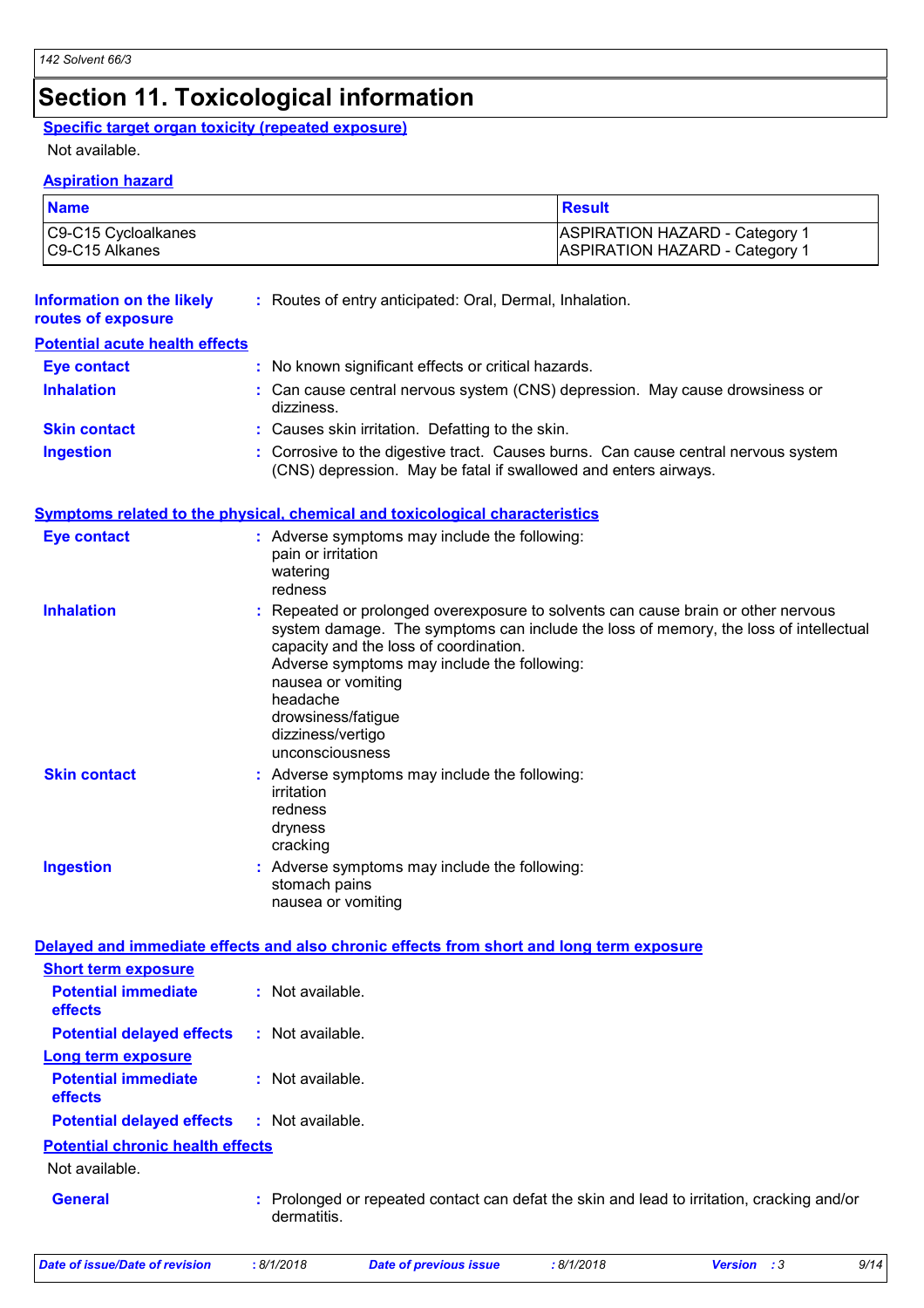### **Section 11. Toxicological information**

#### **Specific target organ toxicity (repeated exposure)**

#### Not available.

#### **Aspiration hazard**

| <b>Name</b>         | <b>Result</b>                         |
|---------------------|---------------------------------------|
| C9-C15 Cycloalkanes | <b>ASPIRATION HAZARD - Category 1</b> |
| C9-C15 Alkanes      | <b>ASPIRATION HAZARD - Category 1</b> |

| <b>Information on the likely</b><br>routes of exposure                                   |                                                                                                                                                       | : Routes of entry anticipated: Oral, Dermal, Inhalation.                                                                                                                                                                                                           |           |             |      |  |  |  |
|------------------------------------------------------------------------------------------|-------------------------------------------------------------------------------------------------------------------------------------------------------|--------------------------------------------------------------------------------------------------------------------------------------------------------------------------------------------------------------------------------------------------------------------|-----------|-------------|------|--|--|--|
| <b>Potential acute health effects</b>                                                    |                                                                                                                                                       |                                                                                                                                                                                                                                                                    |           |             |      |  |  |  |
| <b>Eye contact</b>                                                                       |                                                                                                                                                       | : No known significant effects or critical hazards.                                                                                                                                                                                                                |           |             |      |  |  |  |
| <b>Inhalation</b>                                                                        | dizziness.                                                                                                                                            | : Can cause central nervous system (CNS) depression. May cause drowsiness or                                                                                                                                                                                       |           |             |      |  |  |  |
| <b>Skin contact</b>                                                                      |                                                                                                                                                       | : Causes skin irritation. Defatting to the skin.                                                                                                                                                                                                                   |           |             |      |  |  |  |
| <b>Ingestion</b>                                                                         | : Corrosive to the digestive tract. Causes burns. Can cause central nervous system<br>(CNS) depression. May be fatal if swallowed and enters airways. |                                                                                                                                                                                                                                                                    |           |             |      |  |  |  |
| <b>Symptoms related to the physical, chemical and toxicological characteristics</b>      |                                                                                                                                                       |                                                                                                                                                                                                                                                                    |           |             |      |  |  |  |
| <b>Eye contact</b>                                                                       | pain or irritation<br>watering<br>redness                                                                                                             | : Adverse symptoms may include the following:                                                                                                                                                                                                                      |           |             |      |  |  |  |
| <b>Inhalation</b>                                                                        | nausea or vomiting<br>headache<br>drowsiness/fatigue<br>dizziness/vertigo<br>unconsciousness                                                          | : Repeated or prolonged overexposure to solvents can cause brain or other nervous<br>system damage. The symptoms can include the loss of memory, the loss of intellectual<br>capacity and the loss of coordination.<br>Adverse symptoms may include the following: |           |             |      |  |  |  |
| <b>Skin contact</b>                                                                      | irritation<br>redness<br>dryness<br>cracking                                                                                                          | : Adverse symptoms may include the following:                                                                                                                                                                                                                      |           |             |      |  |  |  |
| <b>Ingestion</b>                                                                         | stomach pains<br>nausea or vomiting                                                                                                                   | : Adverse symptoms may include the following:                                                                                                                                                                                                                      |           |             |      |  |  |  |
|                                                                                          |                                                                                                                                                       |                                                                                                                                                                                                                                                                    |           |             |      |  |  |  |
| Delayed and immediate effects and also chronic effects from short and long term exposure |                                                                                                                                                       |                                                                                                                                                                                                                                                                    |           |             |      |  |  |  |
| <b>Short term exposure</b><br><b>Potential immediate</b><br>effects                      | : Not available.                                                                                                                                      |                                                                                                                                                                                                                                                                    |           |             |      |  |  |  |
| <b>Potential delayed effects</b>                                                         | : Not available.                                                                                                                                      |                                                                                                                                                                                                                                                                    |           |             |      |  |  |  |
| <b>Long term exposure</b>                                                                |                                                                                                                                                       |                                                                                                                                                                                                                                                                    |           |             |      |  |  |  |
| <b>Potential immediate</b><br>effects                                                    | : Not available.                                                                                                                                      |                                                                                                                                                                                                                                                                    |           |             |      |  |  |  |
| <b>Potential delayed effects</b>                                                         | : Not available.                                                                                                                                      |                                                                                                                                                                                                                                                                    |           |             |      |  |  |  |
| <b>Potential chronic health effects</b>                                                  |                                                                                                                                                       |                                                                                                                                                                                                                                                                    |           |             |      |  |  |  |
| Not available.                                                                           |                                                                                                                                                       |                                                                                                                                                                                                                                                                    |           |             |      |  |  |  |
| <b>General</b>                                                                           | dermatitis.                                                                                                                                           | Prolonged or repeated contact can defat the skin and lead to irritation, cracking and/or                                                                                                                                                                           |           |             |      |  |  |  |
| <b>Date of issue/Date of revision</b>                                                    | : 8/1/2018                                                                                                                                            | <b>Date of previous issue</b>                                                                                                                                                                                                                                      | :8/1/2018 | Version : 3 | 9/14 |  |  |  |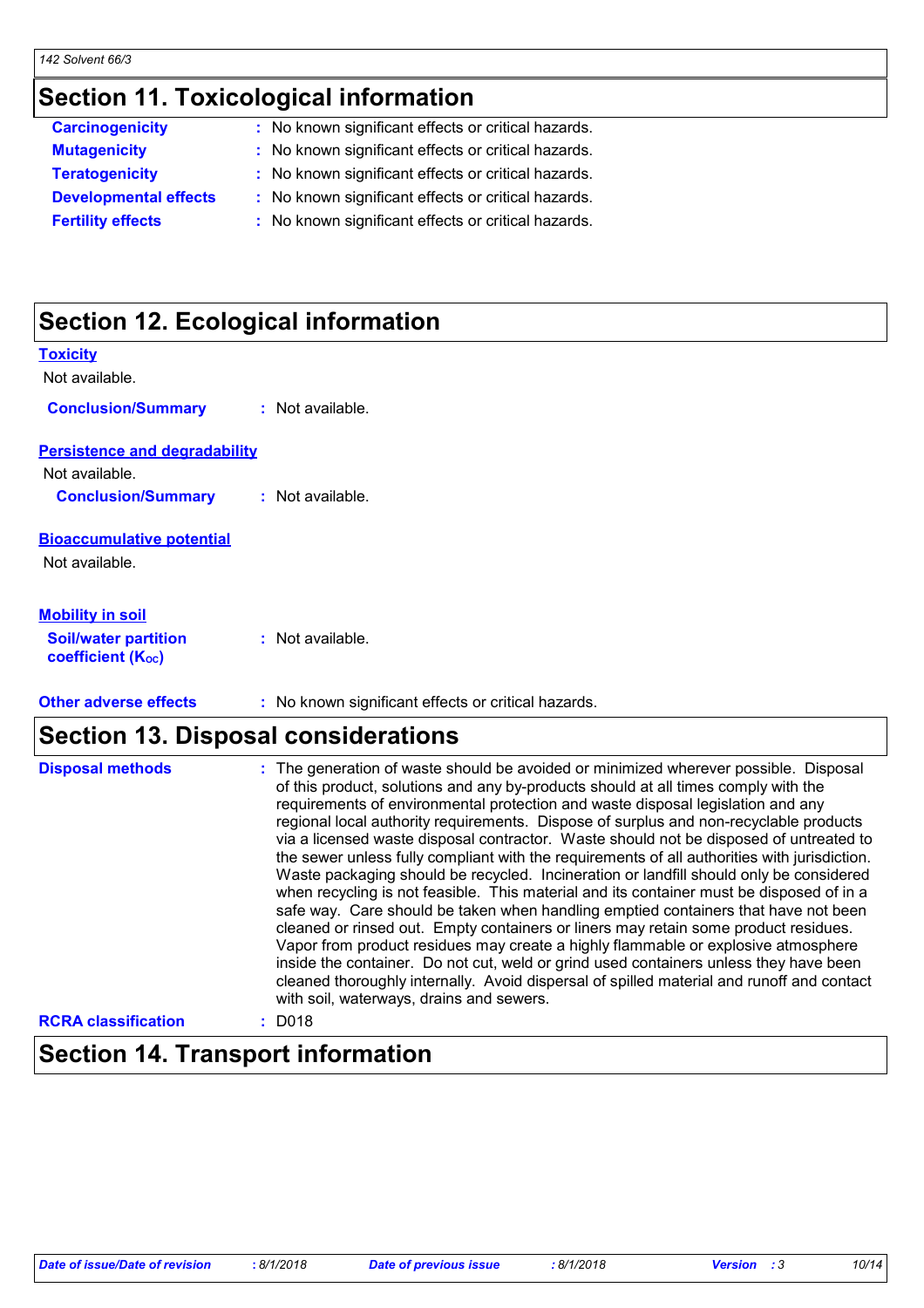### **Section 11. Toxicological information**

| <b>Carcinogenicity</b>       | : No known significant effects or critical hazards. |  |
|------------------------------|-----------------------------------------------------|--|
| <b>Mutagenicity</b>          | : No known significant effects or critical hazards. |  |
| <b>Teratogenicity</b>        | : No known significant effects or critical hazards. |  |
| <b>Developmental effects</b> | : No known significant effects or critical hazards. |  |
| <b>Fertility effects</b>     | : No known significant effects or critical hazards. |  |
|                              |                                                     |  |

### **Section 12. Ecological information**

| <b>Toxicity</b>                                  |                                                                |
|--------------------------------------------------|----------------------------------------------------------------|
| Not available.                                   |                                                                |
| <b>Conclusion/Summary</b>                        | : Not available.                                               |
| <b>Persistence and degradability</b>             |                                                                |
| Not available.                                   |                                                                |
| <b>Conclusion/Summary</b>                        | : Not available.                                               |
| <b>Bioaccumulative potential</b>                 |                                                                |
| Not available.                                   |                                                                |
| <b>Mobility in soil</b>                          |                                                                |
| <b>Soil/water partition</b><br>coefficient (Koc) | : Not available.                                               |
| Attack and concern affected                      | a - Martin Alexandria Mondale Affrodo e a cultival le superior |

#### **Other adverse effects** : No known significant effects or critical hazards.

### **Section 13. Disposal considerations**

| <b>Disposal methods</b>    | : The generation of waste should be avoided or minimized wherever possible. Disposal<br>of this product, solutions and any by-products should at all times comply with the<br>requirements of environmental protection and waste disposal legislation and any<br>regional local authority requirements. Dispose of surplus and non-recyclable products<br>via a licensed waste disposal contractor. Waste should not be disposed of untreated to<br>the sewer unless fully compliant with the requirements of all authorities with jurisdiction.<br>Waste packaging should be recycled. Incineration or landfill should only be considered<br>when recycling is not feasible. This material and its container must be disposed of in a<br>safe way. Care should be taken when handling emptied containers that have not been<br>cleaned or rinsed out. Empty containers or liners may retain some product residues.<br>Vapor from product residues may create a highly flammable or explosive atmosphere<br>inside the container. Do not cut, weld or grind used containers unless they have been<br>cleaned thoroughly internally. Avoid dispersal of spilled material and runoff and contact<br>with soil, waterways, drains and sewers. |
|----------------------------|--------------------------------------------------------------------------------------------------------------------------------------------------------------------------------------------------------------------------------------------------------------------------------------------------------------------------------------------------------------------------------------------------------------------------------------------------------------------------------------------------------------------------------------------------------------------------------------------------------------------------------------------------------------------------------------------------------------------------------------------------------------------------------------------------------------------------------------------------------------------------------------------------------------------------------------------------------------------------------------------------------------------------------------------------------------------------------------------------------------------------------------------------------------------------------------------------------------------------------------------|
| <b>RCRA classification</b> | $:$ D018                                                                                                                                                                                                                                                                                                                                                                                                                                                                                                                                                                                                                                                                                                                                                                                                                                                                                                                                                                                                                                                                                                                                                                                                                                   |

### **Section 14. Transport information**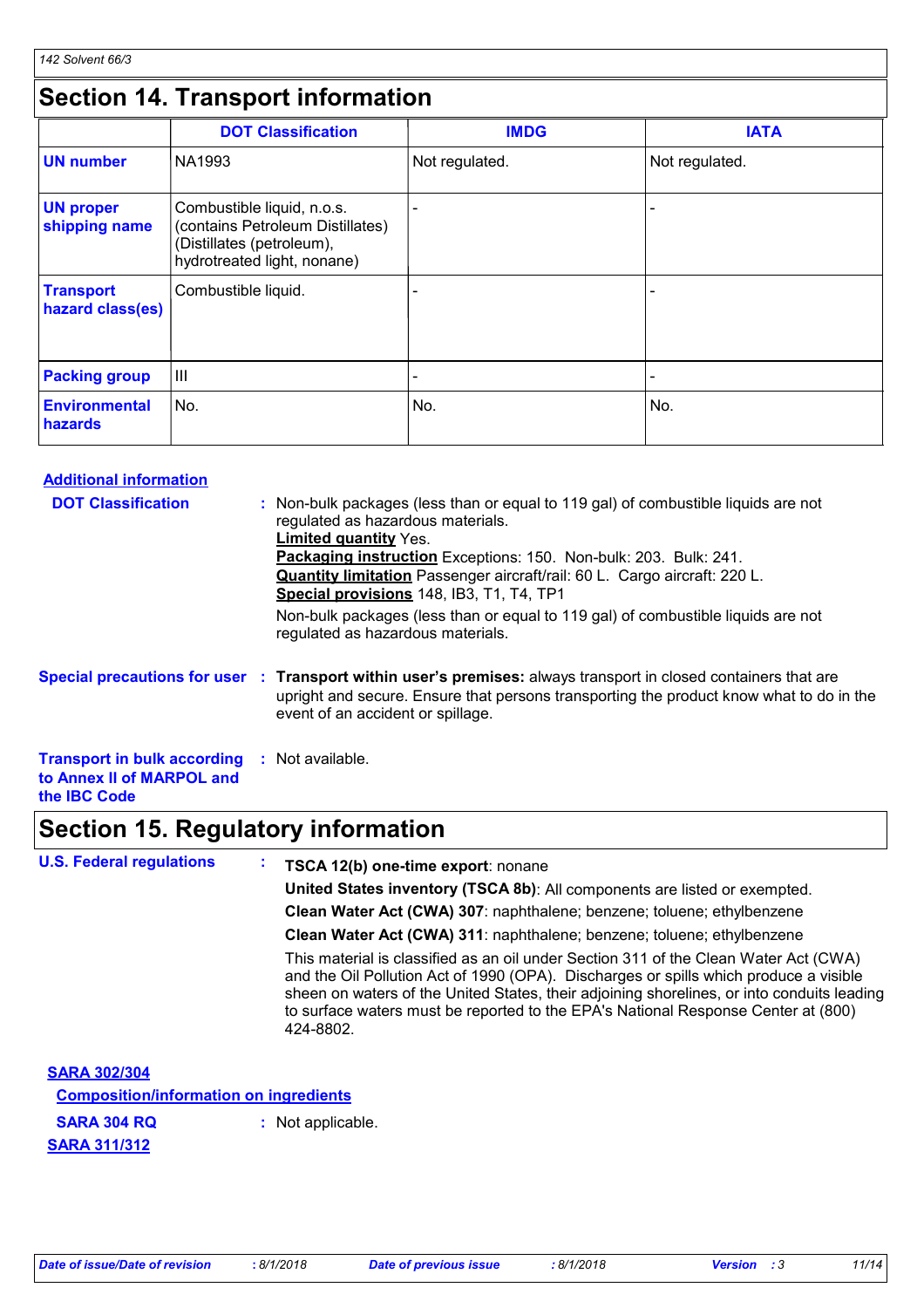### **Section 14. Transport information**

|                                      | <b>DOT Classification</b>                                                                                                  | <b>IMDG</b>              | <b>IATA</b>              |
|--------------------------------------|----------------------------------------------------------------------------------------------------------------------------|--------------------------|--------------------------|
| <b>UN number</b>                     | NA1993                                                                                                                     | Not regulated.           | Not regulated.           |
| <b>UN proper</b><br>shipping name    | Combustible liquid, n.o.s.<br>(contains Petroleum Distillates)<br>(Distillates (petroleum),<br>hydrotreated light, nonane) |                          |                          |
| <b>Transport</b><br>hazard class(es) | Combustible liquid.                                                                                                        |                          |                          |
| <b>Packing group</b>                 | Ш                                                                                                                          | $\overline{\phantom{0}}$ | $\overline{\phantom{a}}$ |
| <b>Environmental</b><br>hazards      | No.                                                                                                                        | No.                      | No.                      |

#### **Additional information**

| <b>DOT Classification</b>                                                                               | : Non-bulk packages (less than or equal to 119 gal) of combustible liquids are not<br>regulated as hazardous materials.<br><b>Limited quantity Yes.</b><br>Packaging instruction Exceptions: 150. Non-bulk: 203. Bulk: 241.<br><b>Quantity limitation</b> Passenger aircraft/rail: 60 L. Cargo aircraft: 220 L.<br>Special provisions 148, IB3, T1, T4, TP1<br>Non-bulk packages (less than or equal to 119 gal) of combustible liquids are not<br>regulated as hazardous materials. |
|---------------------------------------------------------------------------------------------------------|--------------------------------------------------------------------------------------------------------------------------------------------------------------------------------------------------------------------------------------------------------------------------------------------------------------------------------------------------------------------------------------------------------------------------------------------------------------------------------------|
|                                                                                                         | Special precautions for user : Transport within user's premises: always transport in closed containers that are<br>upright and secure. Ensure that persons transporting the product know what to do in the<br>event of an accident or spillage.                                                                                                                                                                                                                                      |
| <b>Transport in bulk according : Not available.</b><br>to Annex II of MARPOL and<br>the <b>IBC</b> Code |                                                                                                                                                                                                                                                                                                                                                                                                                                                                                      |

### **Section 15. Regulatory information**

| <b>U.S. Federal regulations</b>               |  | <b>TSCA 12(b) one-time export: nonane</b>                                                                                                                                                                                                                                                                                                                                     |
|-----------------------------------------------|--|-------------------------------------------------------------------------------------------------------------------------------------------------------------------------------------------------------------------------------------------------------------------------------------------------------------------------------------------------------------------------------|
|                                               |  | United States inventory (TSCA 8b): All components are listed or exempted.                                                                                                                                                                                                                                                                                                     |
|                                               |  | Clean Water Act (CWA) 307: naphthalene; benzene; toluene; ethylbenzene                                                                                                                                                                                                                                                                                                        |
|                                               |  | Clean Water Act (CWA) 311: naphthalene; benzene; toluene; ethylbenzene                                                                                                                                                                                                                                                                                                        |
|                                               |  | This material is classified as an oil under Section 311 of the Clean Water Act (CWA)<br>and the Oil Pollution Act of 1990 (OPA). Discharges or spills which produce a visible<br>sheen on waters of the United States, their adjoining shorelines, or into conduits leading<br>to surface waters must be reported to the EPA's National Response Center at (800)<br>424-8802. |
| <b>SARA 302/304</b>                           |  |                                                                                                                                                                                                                                                                                                                                                                               |
| <b>Composition/information on ingredients</b> |  |                                                                                                                                                                                                                                                                                                                                                                               |
| <b>SARA 304 RQ</b>                            |  | : Not applicable.                                                                                                                                                                                                                                                                                                                                                             |
| <b>SARA 311/312</b>                           |  |                                                                                                                                                                                                                                                                                                                                                                               |

*Date of issue/Date of revision* **:** *8/1/2018 Date of previous issue : 8/1/2018 Version : 3 11/14*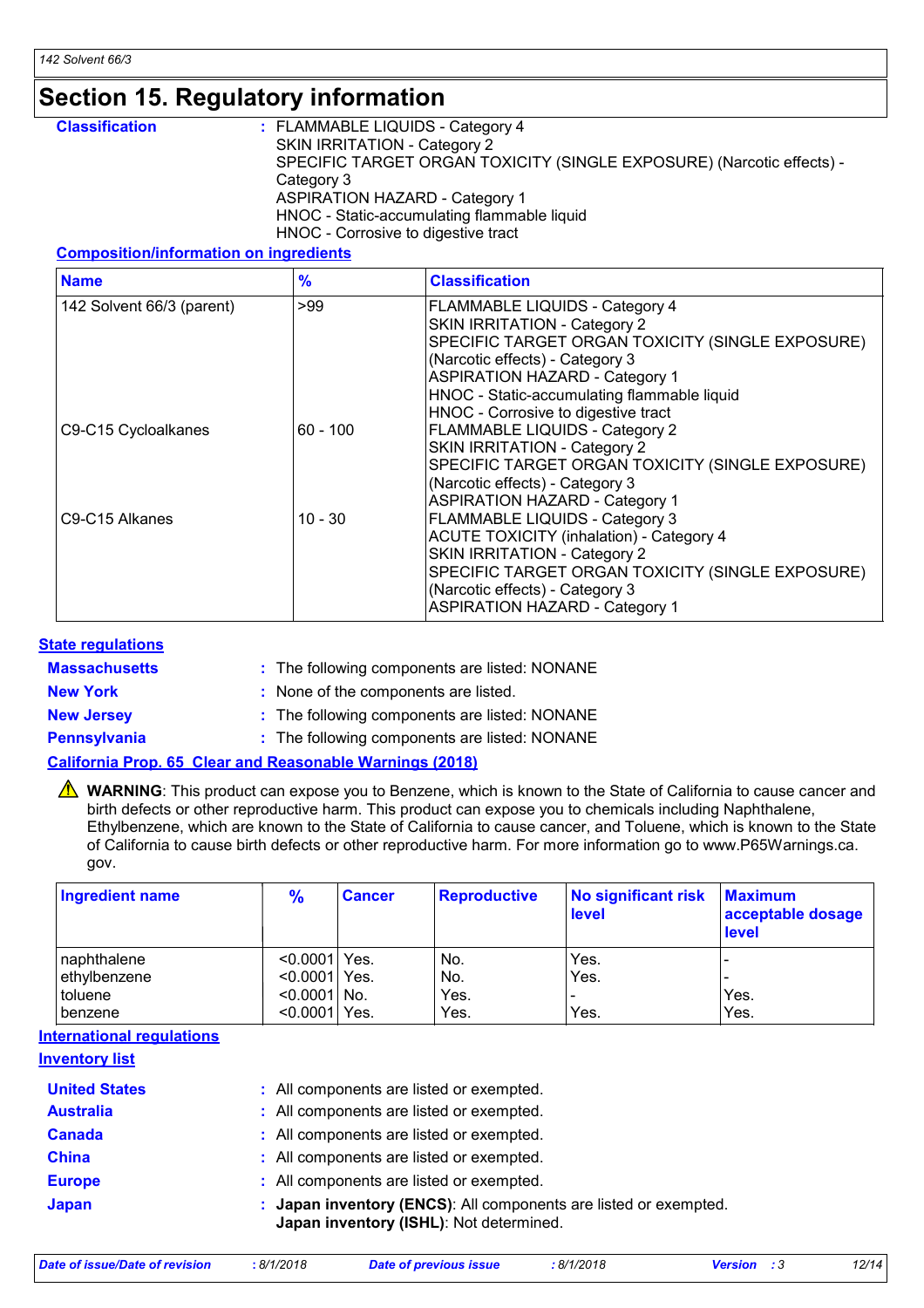### **Section 15. Regulatory information**

| <b>Classification</b> | : FLAMMABLE LIQUIDS - Category 4                                      |
|-----------------------|-----------------------------------------------------------------------|
|                       | SKIN IRRITATION - Category 2                                          |
|                       | SPECIFIC TARGET ORGAN TOXICITY (SINGLE EXPOSURE) (Narcotic effects) - |
|                       | Category 3                                                            |
|                       | <b>ASPIRATION HAZARD - Category 1</b>                                 |
|                       | HNOC - Static-accumulating flammable liquid                           |
|                       | HNOC - Corrosive to digestive tract                                   |

#### **Composition/information on ingredients**

| <b>Name</b>               | $\frac{9}{6}$ | <b>Classification</b>                                                                                                                                                                                                                                                                       |
|---------------------------|---------------|---------------------------------------------------------------------------------------------------------------------------------------------------------------------------------------------------------------------------------------------------------------------------------------------|
| 142 Solvent 66/3 (parent) | >99           | <b>FLAMMABLE LIQUIDS - Category 4</b><br>SKIN IRRITATION - Category 2<br>SPECIFIC TARGET ORGAN TOXICITY (SINGLE EXPOSURE)<br>(Narcotic effects) - Category 3<br><b>ASPIRATION HAZARD - Category 1</b><br>HNOC - Static-accumulating flammable liquid<br>HNOC - Corrosive to digestive tract |
| C9-C15 Cycloalkanes       | $60 - 100$    | <b>FLAMMABLE LIQUIDS - Category 2</b><br>SKIN IRRITATION - Category 2<br>SPECIFIC TARGET ORGAN TOXICITY (SINGLE EXPOSURE)<br>(Narcotic effects) - Category 3<br><b>ASPIRATION HAZARD - Category 1</b>                                                                                       |
| C9-C15 Alkanes            | $10 - 30$     | <b>FLAMMABLE LIQUIDS - Category 3</b><br><b>ACUTE TOXICITY (inhalation) - Category 4</b><br>SKIN IRRITATION - Category 2<br>SPECIFIC TARGET ORGAN TOXICITY (SINGLE EXPOSURE)<br>(Narcotic effects) - Category 3<br><b>ASPIRATION HAZARD - Category 1</b>                                    |

#### **State regulations**

| <b>Massachusetts</b> | : The following components are listed: NONANE                   |
|----------------------|-----------------------------------------------------------------|
| <b>New York</b>      | : None of the components are listed.                            |
| <b>New Jersey</b>    | : The following components are listed: NONANE                   |
| <b>Pennsylvania</b>  | : The following components are listed: NONANE                   |
|                      | <b>California Prop. 65 Clear and Reasonable Warnings (2018)</b> |

WARNING: This product can expose you to Benzene, which is known to the State of California to cause cancer and birth defects or other reproductive harm. This product can expose you to chemicals including Naphthalene, Ethylbenzene, which are known to the State of California to cause cancer, and Toluene, which is known to the State of California to cause birth defects or other reproductive harm. For more information go to www.P65Warnings.ca. gov.

| Ingredient name | $\frac{9}{6}$   | <b>Cancer</b> | <b>Reproductive</b> | No significant risk Maximum<br>level | acceptable dosage<br><b>level</b> |
|-----------------|-----------------|---------------|---------------------|--------------------------------------|-----------------------------------|
| naphthalene     | $< 0.0001$ Yes. |               | No.                 | Yes.                                 |                                   |
| ethylbenzene    | $< 0.0001$ Yes. |               | No.                 | Yes.                                 |                                   |
| toluene         | $< 0.0001$ No.  |               | Yes.                |                                      | Yes.                              |
| benzene         | $< 0.0001$ Yes. |               | Yes.                | Yes.                                 | Yes.                              |

#### **International regulations**

#### **Inventory list**

| <b>United States</b> | : All components are listed or exempted.                                                                    |
|----------------------|-------------------------------------------------------------------------------------------------------------|
| <b>Australia</b>     | : All components are listed or exempted.                                                                    |
| <b>Canada</b>        | : All components are listed or exempted.                                                                    |
| <b>China</b>         | : All components are listed or exempted.                                                                    |
| <b>Europe</b>        | : All components are listed or exempted.                                                                    |
| <b>Japan</b>         | : Japan inventory (ENCS): All components are listed or exempted.<br>Japan inventory (ISHL): Not determined. |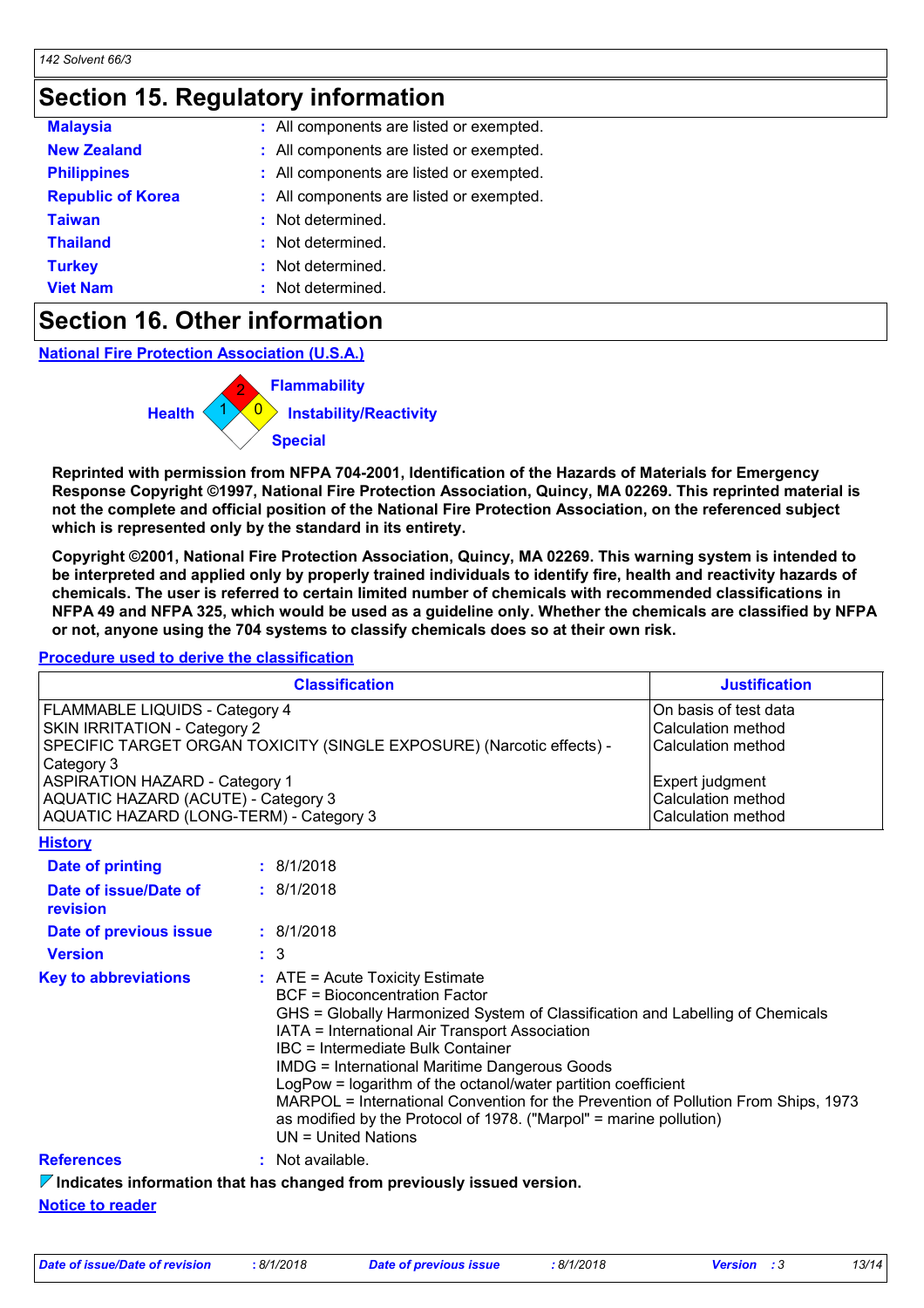### **Section 15. Regulatory information**

| <b>Malaysia</b>          | All components are listed or exempted.   |
|--------------------------|------------------------------------------|
| <b>New Zealand</b>       | : All components are listed or exempted. |
| <b>Philippines</b>       | : All components are listed or exempted. |
| <b>Republic of Korea</b> | : All components are listed or exempted. |
| <b>Taiwan</b>            | Not determined.                          |
| <b>Thailand</b>          | Not determined.                          |
| <b>Turkey</b>            | Not determined.                          |
| <b>Viet Nam</b>          | Not determined.                          |

### **Section 16. Other information**

**National Fire Protection Association (U.S.A.)**



**Reprinted with permission from NFPA 704-2001, Identification of the Hazards of Materials for Emergency Response Copyright ©1997, National Fire Protection Association, Quincy, MA 02269. This reprinted material is not the complete and official position of the National Fire Protection Association, on the referenced subject which is represented only by the standard in its entirety.**

**Copyright ©2001, National Fire Protection Association, Quincy, MA 02269. This warning system is intended to be interpreted and applied only by properly trained individuals to identify fire, health and reactivity hazards of chemicals. The user is referred to certain limited number of chemicals with recommended classifications in NFPA 49 and NFPA 325, which would be used as a guideline only. Whether the chemicals are classified by NFPA or not, anyone using the 704 systems to classify chemicals does so at their own risk.**

#### **Procedure used to derive the classification**

| <b>Classification</b>                                                                                                                                                                                                                               | <b>Justification</b>                                                                                       |
|-----------------------------------------------------------------------------------------------------------------------------------------------------------------------------------------------------------------------------------------------------|------------------------------------------------------------------------------------------------------------|
| <b>FLAMMABLE LIQUIDS - Category 4</b><br><b>SKIN IRRITATION - Category 2</b><br>SPECIFIC TARGET ORGAN TOXICITY (SINGLE EXPOSURE) (Narcotic effects) -<br>Category 3<br><b>ASPIRATION HAZARD - Category 1</b><br>AQUATIC HAZARD (ACUTE) - Category 3 | On basis of test data<br>Calculation method<br>Calculation method<br>Expert judgment<br>Calculation method |
| AQUATIC HAZARD (LONG-TERM) - Category 3<br><b>History</b>                                                                                                                                                                                           | Calculation method                                                                                         |

| Date of printing                  | : 8/1/2018                                                                                                                                                                                                                                                                                                                                                                                                                                                                                                                                                        |
|-----------------------------------|-------------------------------------------------------------------------------------------------------------------------------------------------------------------------------------------------------------------------------------------------------------------------------------------------------------------------------------------------------------------------------------------------------------------------------------------------------------------------------------------------------------------------------------------------------------------|
| Date of issue/Date of<br>revision | : 8/1/2018                                                                                                                                                                                                                                                                                                                                                                                                                                                                                                                                                        |
| Date of previous issue            | : 8/1/2018                                                                                                                                                                                                                                                                                                                                                                                                                                                                                                                                                        |
| <b>Version</b>                    | $\therefore$ 3                                                                                                                                                                                                                                                                                                                                                                                                                                                                                                                                                    |
| <b>Key to abbreviations</b>       | $\therefore$ ATE = Acute Toxicity Estimate<br>BCF = Bioconcentration Factor<br>GHS = Globally Harmonized System of Classification and Labelling of Chemicals<br>IATA = International Air Transport Association<br>IBC = Intermediate Bulk Container<br><b>IMDG = International Maritime Dangerous Goods</b><br>LogPow = logarithm of the octanol/water partition coefficient<br>MARPOL = International Convention for the Prevention of Pollution From Ships, 1973<br>as modified by the Protocol of 1978. ("Marpol" = marine pollution)<br>$UN = United Nations$ |
| <b>References</b>                 | : Not available.                                                                                                                                                                                                                                                                                                                                                                                                                                                                                                                                                  |
|                                   | $\nabla$ Indicates information that has changed from previously issued version.                                                                                                                                                                                                                                                                                                                                                                                                                                                                                   |